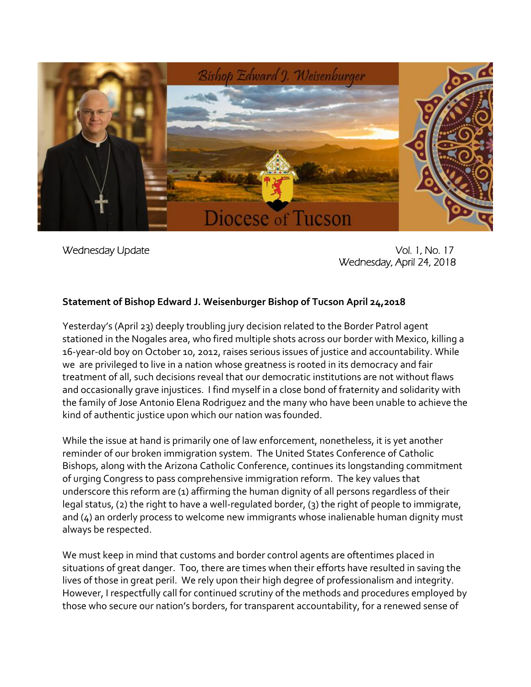

Wednesday Update Vol. 1, No. 17 Wednesday, April 24, 2018

## **Statement of Bishop Edward J. Weisenburger Bishop of Tucson April 24,2018**

Yesterday's (April 23) deeply troubling jury decision related to the Border Patrol agent stationed in the Nogales area, who fired multiple shots across our border with Mexico, killing a 16-year-old boy on October 10, 2012, raises serious issues of justice and accountability. While we are privileged to live in a nation whose greatness is rooted in its democracy and fair treatment of all, such decisions reveal that our democratic institutions are not without flaws and occasionally grave injustices. I find myself in a close bond of fraternity and solidarity with the family of Jose Antonio Elena Rodriguez and the many who have been unable to achieve the kind of authentic justice upon which our nation was founded.

While the issue at hand is primarily one of law enforcement, nonetheless, it is yet another reminder of our broken immigration system. The United States Conference of Catholic Bishops, along with the Arizona Catholic Conference, continues its longstanding commitment of urging Congress to pass comprehensive immigration reform. The key values that underscore this reform are (1) affirming the human dignity of all persons regardless of their legal status, (2) the right to have a well-regulated border, (3) the right of people to immigrate, and (4) an orderly process to welcome new immigrants whose inalienable human dignity must always be respected.

We must keep in mind that customs and border control agents are oftentimes placed in situations of great danger. Too, there are times when their efforts have resulted in saving the lives of those in great peril. We rely upon their high degree of professionalism and integrity. However, I respectfully call for continued scrutiny of the methods and procedures employed by those who secure our nation's borders, for transparent accountability, for a renewed sense of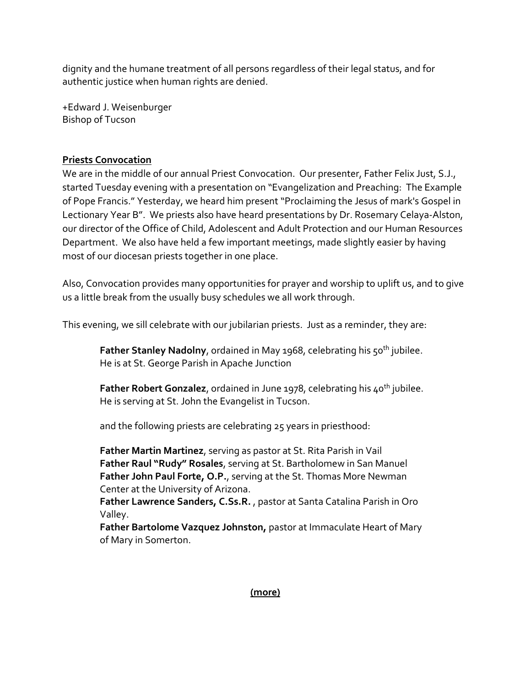dignity and the humane treatment of all persons regardless of their legal status, and for authentic justice when human rights are denied.

+Edward J. Weisenburger Bishop of Tucson

## **Priests Convocation**

We are in the middle of our annual Priest Convocation. Our presenter, Father Felix Just, S.J., started Tuesday evening with a presentation on "Evangelization and Preaching: The Example of Pope Francis." Yesterday, we heard him present "Proclaiming the Jesus of mark's Gospel in Lectionary Year B". We priests also have heard presentations by Dr. Rosemary Celaya-Alston, our director of the Office of Child, Adolescent and Adult Protection and our Human Resources Department. We also have held a few important meetings, made slightly easier by having most of our diocesan priests together in one place.

Also, Convocation provides many opportunities for prayer and worship to uplift us, and to give us a little break from the usually busy schedules we all work through.

This evening, we sill celebrate with our jubilarian priests. Just as a reminder, they are:

**Father Stanley Nadolny, ordained in May 1968, celebrating his 50<sup>th</sup> jubilee.** He is at St. George Parish in Apache Junction

**Father Robert Gonzalez, ordained in June 1978, celebrating his 40<sup>th</sup> jubilee.** He is serving at St. John the Evangelist in Tucson.

and the following priests are celebrating 25 years in priesthood:

**Father Martin Martinez**, serving as pastor at St. Rita Parish in Vail **Father Raul "Rudy" Rosales**, serving at St. Bartholomew in San Manuel **Father John Paul Forte, O.P.**, serving at the St. Thomas More Newman Center at the University of Arizona.

**Father Lawrence Sanders, C.Ss.R.** , pastor at Santa Catalina Parish in Oro Valley.

**Father Bartolome Vazquez Johnston,** pastor at Immaculate Heart of Mary of Mary in Somerton.

## **(more)**